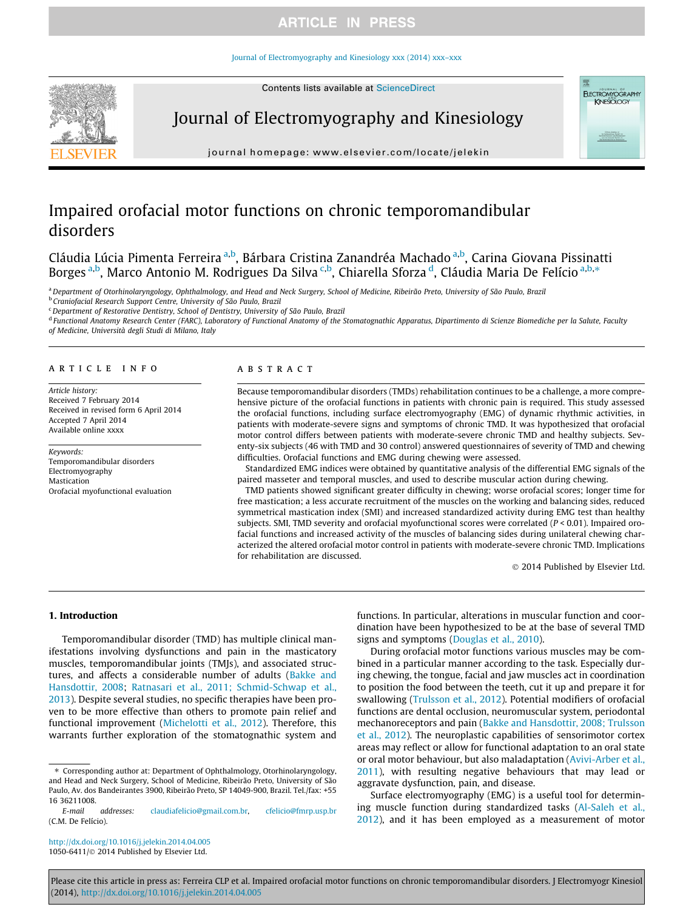#### [Journal of Electromyography and Kinesiology xxx \(2014\) xxx–xxx](http://dx.doi.org/10.1016/j.jelekin.2014.04.005)



Contents lists available at [ScienceDirect](http://www.sciencedirect.com/science/journal/10506411)

# Journal of Electromyography and Kinesiology

journal homepage: [www.elsevier.com/locate/jelekin](http://www.elsevier.com/locate/jelekin)

# Impaired orofacial motor functions on chronic temporomandibular disorders

Cláudia Lúcia Pimenta Ferreira <sup>a,b</sup>, Bárbara Cristina Zanandréa Machado <sup>a,b</sup>, Carina Giovana Pissinatti Borges <sup>a,b</sup>, Marco Antonio M. Rodrigues Da Silva <sup>c,b</sup>, Chiarella Sforza <sup>d</sup>, Cláudia Maria De Felício <sup>a,b,</sup>\*

a Department of Otorhinolaryngology, Ophthalmology, and Head and Neck Surgery, School of Medicine, Ribeirão Preto, University of São Paulo, Brazil

**b** Craniofacial Research Support Centre, University of São Paulo, Brazil

<sup>c</sup> Department of Restorative Dentistry, School of Dentistry, University of São Paulo, Brazil

<sup>d</sup> Functional Anatomy Research Center (FARC), Laboratory of Functional Anatomy of the Stomatognathic Apparatus, Dipartimento di Scienze Biomediche per la Salute, Faculty of Medicine, Università degli Studi di Milano, Italy

#### article info

Article history: Received 7 February 2014 Received in revised form 6 April 2014 Accepted 7 April 2014 Available online xxxx

Keywords: Temporomandibular disorders Electromyography Mastication Orofacial myofunctional evaluation

#### **ABSTRACT**

Because temporomandibular disorders (TMDs) rehabilitation continues to be a challenge, a more comprehensive picture of the orofacial functions in patients with chronic pain is required. This study assessed the orofacial functions, including surface electromyography (EMG) of dynamic rhythmic activities, in patients with moderate-severe signs and symptoms of chronic TMD. It was hypothesized that orofacial motor control differs between patients with moderate-severe chronic TMD and healthy subjects. Seventy-six subjects (46 with TMD and 30 control) answered questionnaires of severity of TMD and chewing difficulties. Orofacial functions and EMG during chewing were assessed.

Standardized EMG indices were obtained by quantitative analysis of the differential EMG signals of the paired masseter and temporal muscles, and used to describe muscular action during chewing.

TMD patients showed significant greater difficulty in chewing; worse orofacial scores; longer time for free mastication; a less accurate recruitment of the muscles on the working and balancing sides, reduced symmetrical mastication index (SMI) and increased standardized activity during EMG test than healthy subjects. SMI, TMD severity and orofacial myofunctional scores were correlated  $(P < 0.01)$ . Impaired orofacial functions and increased activity of the muscles of balancing sides during unilateral chewing characterized the altered orofacial motor control in patients with moderate-severe chronic TMD. Implications for rehabilitation are discussed.

- 2014 Published by Elsevier Ltd.

**ELECTROMYOGRAPHY** KNESOLOGY

#### 1. Introduction

Temporomandibular disorder (TMD) has multiple clinical manifestations involving dysfunctions and pain in the masticatory muscles, temporomandibular joints (TMJs), and associated structures, and affects a considerable number of adults ([Bakke and](#page-5-0) [Hansdottir, 2008;](#page-5-0) [Ratnasari et al., 2011; Schmid-Schwap et al.,](#page-6-0) [2013\)](#page-6-0). Despite several studies, no specific therapies have been proven to be more effective than others to promote pain relief and functional improvement [\(Michelotti et al., 2012](#page-6-0)). Therefore, this warrants further exploration of the stomatognathic system and

<http://dx.doi.org/10.1016/j.jelekin.2014.04.005> 1050-6411/ $\odot$  2014 Published by Elsevier Ltd.

functions. In particular, alterations in muscular function and coordination have been hypothesized to be at the base of several TMD signs and symptoms [\(Douglas et al., 2010](#page-5-0)).

During orofacial motor functions various muscles may be combined in a particular manner according to the task. Especially during chewing, the tongue, facial and jaw muscles act in coordination to position the food between the teeth, cut it up and prepare it for swallowing [\(Trulsson et al., 2012](#page-6-0)). Potential modifiers of orofacial functions are dental occlusion, neuromuscular system, periodontal mechanoreceptors and pain [\(Bakke and Hansdottir, 2008; Trulsson](#page-5-0) [et al., 2012\)](#page-5-0). The neuroplastic capabilities of sensorimotor cortex areas may reflect or allow for functional adaptation to an oral state or oral motor behaviour, but also maladaptation [\(Avivi-Arber et al.,](#page-5-0) [2011](#page-5-0)), with resulting negative behaviours that may lead or aggravate dysfunction, pain, and disease.

Surface electromyography (EMG) is a useful tool for determining muscle function during standardized tasks [\(Al-Saleh et al.,](#page-5-0) [2012](#page-5-0)), and it has been employed as a measurement of motor

<sup>⇑</sup> Corresponding author at: Department of Ophthalmology, Otorhinolaryngology, and Head and Neck Surgery, School of Medicine, Ribeirão Preto, University of São Paulo, Av. dos Bandeirantes 3900, Ribeirão Preto, SP 14049-900, Brazil. Tel./fax: +55 16 36211008.

E-mail addresses: [claudiafelicio@gmail.com.br](mailto:claudiafelicio@gmail.com.br), [cfelicio@fmrp.usp.br](mailto:cfelicio@fmrp.usp.br) (C.M. De Felício).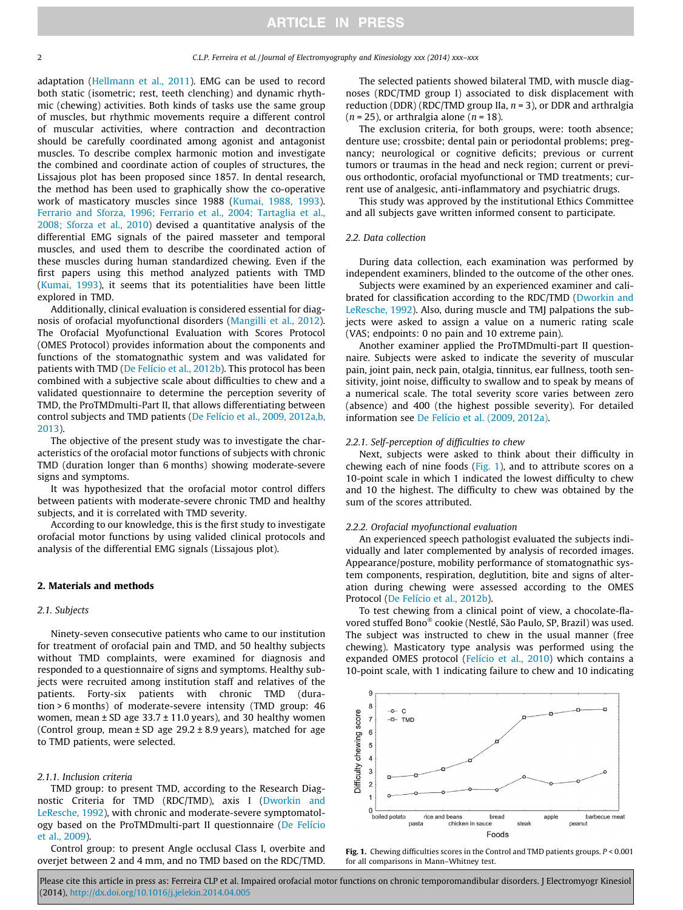<span id="page-1-0"></span>adaptation [\(Hellmann et al., 2011\)](#page-6-0). EMG can be used to record both static (isometric; rest, teeth clenching) and dynamic rhythmic (chewing) activities. Both kinds of tasks use the same group of muscles, but rhythmic movements require a different control of muscular activities, where contraction and decontraction should be carefully coordinated among agonist and antagonist muscles. To describe complex harmonic motion and investigate the combined and coordinate action of couples of structures, the Lissajous plot has been proposed since 1857. In dental research, the method has been used to graphically show the co-operative work of masticatory muscles since 1988 [\(Kumai, 1988, 1993\)](#page-6-0). [Ferrario and Sforza, 1996; Ferrario et al., 2004; Tartaglia et al.,](#page-6-0) [2008; Sforza et al., 2010](#page-6-0)) devised a quantitative analysis of the differential EMG signals of the paired masseter and temporal muscles, and used them to describe the coordinated action of these muscles during human standardized chewing. Even if the first papers using this method analyzed patients with TMD ([Kumai, 1993\)](#page-6-0), it seems that its potentialities have been little explored in TMD.

Additionally, clinical evaluation is considered essential for diagnosis of orofacial myofunctional disorders [\(Mangilli et al., 2012\)](#page-6-0). The Orofacial Myofunctional Evaluation with Scores Protocol (OMES Protocol) provides information about the components and functions of the stomatognathic system and was validated for patients with TMD [\(De Felício et al., 2012b](#page-5-0)). This protocol has been combined with a subjective scale about difficulties to chew and a validated questionnaire to determine the perception severity of TMD, the ProTMDmulti-Part II, that allows differentiating between control subjects and TMD patients ([De Felício et al., 2009, 2012a,b,](#page-5-0) [2013\)](#page-5-0).

The objective of the present study was to investigate the characteristics of the orofacial motor functions of subjects with chronic TMD (duration longer than 6 months) showing moderate-severe signs and symptoms.

It was hypothesized that the orofacial motor control differs between patients with moderate-severe chronic TMD and healthy subjects, and it is correlated with TMD severity.

According to our knowledge, this is the first study to investigate orofacial motor functions by using valided clinical protocols and analysis of the differential EMG signals (Lissajous plot).

## 2. Materials and methods

#### 2.1. Subjects

Ninety-seven consecutive patients who came to our institution for treatment of orofacial pain and TMD, and 50 healthy subjects without TMD complaints, were examined for diagnosis and responded to a questionnaire of signs and symptoms. Healthy subjects were recruited among institution staff and relatives of the patients. Forty-six patients with chronic TMD (duration > 6 months) of moderate-severe intensity (TMD group: 46 women, mean  $\pm$  SD age 33.7  $\pm$  11.0 years), and 30 healthy women (Control group, mean  $\pm$  SD age 29.2  $\pm$  8.9 years), matched for age to TMD patients, were selected.

#### 2.1.1. Inclusion criteria

TMD group: to present TMD, according to the Research Diagnostic Criteria for TMD (RDC/TMD), axis I ([Dworkin and](#page-6-0) [LeResche, 1992](#page-6-0)), with chronic and moderate-severe symptomatology based on the ProTMDmulti-part II questionnaire ([De Felício](#page-5-0) [et al., 2009\)](#page-5-0).

Control group: to present Angle occlusal Class I, overbite and overjet between 2 and 4 mm, and no TMD based on the RDC/TMD.

The selected patients showed bilateral TMD, with muscle diagnoses (RDC/TMD group I) associated to disk displacement with reduction (DDR) (RDC/TMD group IIa,  $n = 3$ ), or DDR and arthralgia  $(n = 25)$ , or arthralgia alone  $(n = 18)$ .

The exclusion criteria, for both groups, were: tooth absence; denture use; crossbite; dental pain or periodontal problems; pregnancy; neurological or cognitive deficits; previous or current tumors or traumas in the head and neck region; current or previous orthodontic, orofacial myofunctional or TMD treatments; current use of analgesic, anti-inflammatory and psychiatric drugs.

This study was approved by the institutional Ethics Committee and all subjects gave written informed consent to participate.

#### 2.2. Data collection

During data collection, each examination was performed by independent examiners, blinded to the outcome of the other ones.

Subjects were examined by an experienced examiner and calibrated for classification according to the RDC/TMD [\(Dworkin and](#page-6-0) [LeResche, 1992\)](#page-6-0). Also, during muscle and TMJ palpations the subjects were asked to assign a value on a numeric rating scale (VAS; endpoints: 0 no pain and 10 extreme pain).

Another examiner applied the ProTMDmulti-part II questionnaire. Subjects were asked to indicate the severity of muscular pain, joint pain, neck pain, otalgia, tinnitus, ear fullness, tooth sensitivity, joint noise, difficulty to swallow and to speak by means of a numerical scale. The total severity score varies between zero (absence) and 400 (the highest possible severity). For detailed information see [De Felício et al. \(2009, 2012a\).](#page-5-0)

#### 2.2.1. Self-perception of difficulties to chew

Next, subjects were asked to think about their difficulty in chewing each of nine foods (Fig. 1), and to attribute scores on a 10-point scale in which 1 indicated the lowest difficulty to chew and 10 the highest. The difficulty to chew was obtained by the sum of the scores attributed.

#### 2.2.2. Orofacial myofunctional evaluation

An experienced speech pathologist evaluated the subjects individually and later complemented by analysis of recorded images. Appearance/posture, mobility performance of stomatognathic system components, respiration, deglutition, bite and signs of alteration during chewing were assessed according to the OMES Protocol ([De Felício et al., 2012b](#page-5-0)).

To test chewing from a clinical point of view, a chocolate-flavored stuffed Bono® cookie (Nestlé, São Paulo, SP, Brazil) was used. The subject was instructed to chew in the usual manner (free chewing). Masticatory type analysis was performed using the expanded OMES protocol ([Felício et al., 2010](#page-6-0)) which contains a 10-point scale, with 1 indicating failure to chew and 10 indicating



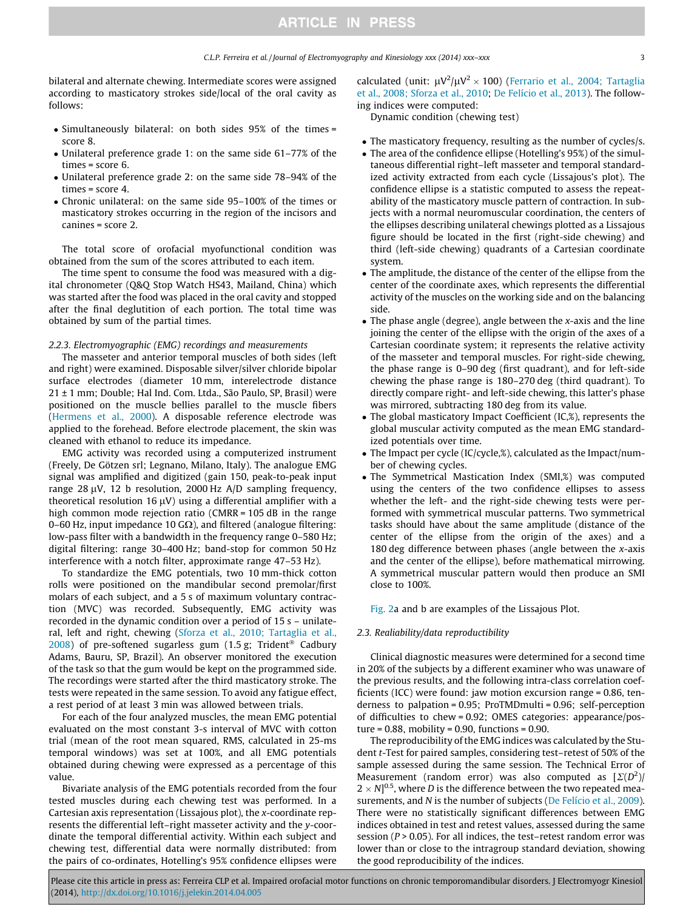bilateral and alternate chewing. Intermediate scores were assigned according to masticatory strokes side/local of the oral cavity as follows:

- Simultaneously bilateral: on both sides 95% of the times = score 8.
- Unilateral preference grade 1: on the same side 61–77% of the times = score 6.
- Unilateral preference grade 2: on the same side 78–94% of the times = score 4.
- Chronic unilateral: on the same side 95–100% of the times or masticatory strokes occurring in the region of the incisors and canines = score 2.

The total score of orofacial myofunctional condition was obtained from the sum of the scores attributed to each item.

The time spent to consume the food was measured with a digital chronometer (Q&Q Stop Watch HS43, Mailand, China) which was started after the food was placed in the oral cavity and stopped after the final deglutition of each portion. The total time was obtained by sum of the partial times.

#### 2.2.3. Electromyographic (EMG) recordings and measurements

The masseter and anterior temporal muscles of both sides (left and right) were examined. Disposable silver/silver chloride bipolar surface electrodes (diameter 10 mm, interelectrode distance 21 ± 1 mm; Double; Hal Ind. Com. Ltda., São Paulo, SP, Brasil) were positioned on the muscle bellies parallel to the muscle fibers ([Hermens et al., 2000](#page-6-0)). A disposable reference electrode was applied to the forehead. Before electrode placement, the skin was cleaned with ethanol to reduce its impedance.

EMG activity was recorded using a computerized instrument (Freely, De Götzen srl; Legnano, Milano, Italy). The analogue EMG signal was amplified and digitized (gain 150, peak-to-peak input range 28  $\mu$ V, 12 b resolution, 2000 Hz A/D sampling frequency, theoretical resolution 16  $\mu$ V) using a differential amplifier with a high common mode rejection ratio (CMRR = 105 dB in the range 0–60 Hz, input impedance 10 G $\Omega$ ), and filtered (analogue filtering: low-pass filter with a bandwidth in the frequency range 0–580 Hz; digital filtering: range 30–400 Hz; band-stop for common 50 Hz interference with a notch filter, approximate range 47–53 Hz).

To standardize the EMG potentials, two 10 mm-thick cotton rolls were positioned on the mandibular second premolar/first molars of each subject, and a 5 s of maximum voluntary contraction (MVC) was recorded. Subsequently, EMG activity was recorded in the dynamic condition over a period of 15 s – unilateral, left and right, chewing ([Sforza et al., 2010; Tartaglia et al.,](#page-6-0)  $2008$ ) of pre-softened sugarless gum (1.5 g; Trident<sup>®</sup> Cadbury Adams, Bauru, SP, Brazil). An observer monitored the execution of the task so that the gum would be kept on the programmed side. The recordings were started after the third masticatory stroke. The tests were repeated in the same session. To avoid any fatigue effect, a rest period of at least 3 min was allowed between trials.

For each of the four analyzed muscles, the mean EMG potential evaluated on the most constant 3-s interval of MVC with cotton trial (mean of the root mean squared, RMS, calculated in 25-ms temporal windows) was set at 100%, and all EMG potentials obtained during chewing were expressed as a percentage of this value.

Bivariate analysis of the EMG potentials recorded from the four tested muscles during each chewing test was performed. In a Cartesian axis representation (Lissajous plot), the x-coordinate represents the differential left–right masseter activity and the y-coordinate the temporal differential activity. Within each subject and chewing test, differential data were normally distributed: from the pairs of co-ordinates, Hotelling's 95% confidence ellipses were

calculated (unit:  $\mu V^2 / \mu V^2 \times 100$ ) ([Ferrario et al., 2004; Tartaglia](#page-6-0) [et al., 2008; Sforza et al., 2010;](#page-6-0) [De Felício et al., 2013\)](#page-5-0). The following indices were computed:

Dynamic condition (chewing test)

- The masticatory frequency, resulting as the number of cycles/s.
- The area of the confidence ellipse (Hotelling's 95%) of the simultaneous differential right–left masseter and temporal standardized activity extracted from each cycle (Lissajous's plot). The confidence ellipse is a statistic computed to assess the repeatability of the masticatory muscle pattern of contraction. In subjects with a normal neuromuscular coordination, the centers of the ellipses describing unilateral chewings plotted as a Lissajous figure should be located in the first (right-side chewing) and third (left-side chewing) quadrants of a Cartesian coordinate system.
- The amplitude, the distance of the center of the ellipse from the center of the coordinate axes, which represents the differential activity of the muscles on the working side and on the balancing side.
- The phase angle (degree), angle between the x-axis and the line joining the center of the ellipse with the origin of the axes of a Cartesian coordinate system; it represents the relative activity of the masseter and temporal muscles. For right-side chewing, the phase range is 0–90 deg (first quadrant), and for left-side chewing the phase range is 180–270 deg (third quadrant). To directly compare right- and left-side chewing, this latter's phase was mirrored, subtracting 180 deg from its value.
- The global masticatory Impact Coefficient (IC,%), represents the global muscular activity computed as the mean EMG standardized potentials over time.
- The Impact per cycle (IC/cycle,%), calculated as the Impact/number of chewing cycles.
- The Symmetrical Mastication Index (SMI,%) was computed using the centers of the two confidence ellipses to assess whether the left- and the right-side chewing tests were performed with symmetrical muscular patterns. Two symmetrical tasks should have about the same amplitude (distance of the center of the ellipse from the origin of the axes) and a 180 deg difference between phases (angle between the x-axis and the center of the ellipse), before mathematical mirrowing. A symmetrical muscular pattern would then produce an SMI close to 100%.

[Fig. 2a](#page-3-0) and b are examples of the Lissajous Plot.

#### 2.3. Realiability/data reproductibility

Clinical diagnostic measures were determined for a second time in 20% of the subjects by a different examiner who was unaware of the previous results, and the following intra-class correlation coefficients (ICC) were found: jaw motion excursion range = 0.86, tenderness to palpation = 0.95; ProTMDmulti = 0.96; self-perception of difficulties to chew = 0.92; OMES categories: appearance/posture =  $0.88$ , mobility =  $0.90$ , functions =  $0.90$ .

The reproducibility of the EMG indices was calculated by the Student t-Test for paired samples, considering test–retest of 50% of the sample assessed during the same session. The Technical Error of Measurement (random error) was also computed as  $[\Sigma(D^2)]$  $2 \times N$ ]<sup>0.5</sup>, where *D* is the difference between the two repeated mea-surements, and N is the number of subjects [\(De Felício et al., 2009\)](#page-5-0). There were no statistically significant differences between EMG indices obtained in test and retest values, assessed during the same session ( $P > 0.05$ ). For all indices, the test-retest random error was lower than or close to the intragroup standard deviation, showing the good reproducibility of the indices.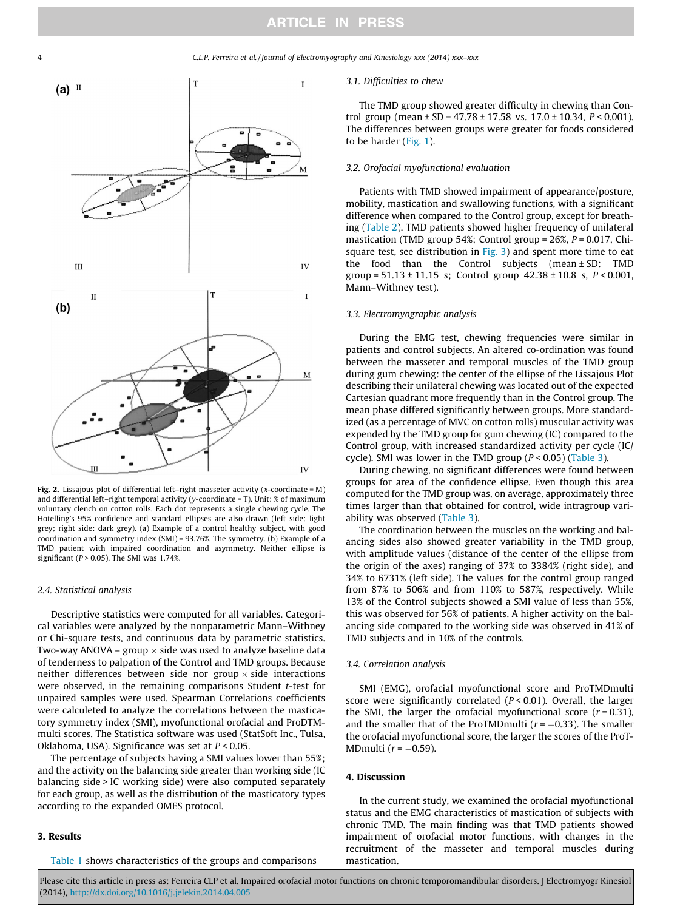4 C.L.P. Ferreira et al. / Journal of Electromyography and Kinesiology xxx (2014) xxx–xxx

<span id="page-3-0"></span>

Fig. 2. Lissajous plot of differential left-right masseter activity ( $x$ -coordinate = M) and differential left–right temporal activity (y-coordinate = T). Unit: % of maximum voluntary clench on cotton rolls. Each dot represents a single chewing cycle. The Hotelling's 95% confidence and standard ellipses are also drawn (left side: light grey; right side: dark grey). (a) Example of a control healthy subject, with good coordination and symmetry index (SMI) = 93.76%. The symmetry. (b) Example of a TMD patient with impaired coordination and asymmetry. Neither ellipse is significant ( $P > 0.05$ ). The SMI was 1.74%.

#### 2.4. Statistical analysis

Descriptive statistics were computed for all variables. Categorical variables were analyzed by the nonparametric Mann–Withney or Chi-square tests, and continuous data by parametric statistics. Two-way ANOVA – group  $\times$  side was used to analyze baseline data of tenderness to palpation of the Control and TMD groups. Because neither differences between side nor group  $\times$  side interactions were observed, in the remaining comparisons Student  $t$ -test for unpaired samples were used. Spearman Correlations coefficients were calculeted to analyze the correlations between the masticatory symmetry index (SMI), myofunctional orofacial and ProDTMmulti scores. The Statistica software was used (StatSoft Inc., Tulsa, Oklahoma, USA). Significance was set at  $P < 0.05$ .

The percentage of subjects having a SMI values lower than 55%; and the activity on the balancing side greater than working side (IC balancing side > IC working side) were also computed separately for each group, as well as the distribution of the masticatory types according to the expanded OMES protocol.

## 3. Results

[Table 1](#page-4-0) shows characteristics of the groups and comparisons

#### 3.1. Difficulties to chew

The TMD group showed greater difficulty in chewing than Control group (mean  $\pm$  SD = 47.78  $\pm$  17.58 vs. 17.0  $\pm$  10.34, P < 0.001). The differences between groups were greater for foods considered to be harder [\(Fig. 1\)](#page-1-0).

### 3.2. Orofacial myofunctional evaluation

Patients with TMD showed impairment of appearance/posture, mobility, mastication and swallowing functions, with a significant difference when compared to the Control group, except for breathing [\(Table 2\)](#page-4-0). TMD patients showed higher frequency of unilateral mastication (TMD group 54%; Control group =  $26\%$ ,  $P = 0.017$ , Chisquare test, see distribution in  $Fig. 3$ ) and spent more time to eat the food than the Control subjects (mean ± SD: TMD group =  $51.13 \pm 11.15$  s; Control group  $42.38 \pm 10.8$  s,  $P < 0.001$ , Mann–Withney test).

# 3.3. Electromyographic analysis

During the EMG test, chewing frequencies were similar in patients and control subjects. An altered co-ordination was found between the masseter and temporal muscles of the TMD group during gum chewing: the center of the ellipse of the Lissajous Plot describing their unilateral chewing was located out of the expected Cartesian quadrant more frequently than in the Control group. The mean phase differed significantly between groups. More standardized (as a percentage of MVC on cotton rolls) muscular activity was expended by the TMD group for gum chewing (IC) compared to the Control group, with increased standardized activity per cycle (IC/ cycle). SMI was lower in the TMD group  $(P < 0.05)$  ([Table 3](#page-5-0)).

During chewing, no significant differences were found between groups for area of the confidence ellipse. Even though this area computed for the TMD group was, on average, approximately three times larger than that obtained for control, wide intragroup variability was observed ([Table 3](#page-5-0)).

The coordination between the muscles on the working and balancing sides also showed greater variability in the TMD group, with amplitude values (distance of the center of the ellipse from the origin of the axes) ranging of 37% to 3384% (right side), and 34% to 6731% (left side). The values for the control group ranged from 87% to 506% and from 110% to 587%, respectively. While 13% of the Control subjects showed a SMI value of less than 55%, this was observed for 56% of patients. A higher activity on the balancing side compared to the working side was observed in 41% of TMD subjects and in 10% of the controls.

## 3.4. Correlation analysis

SMI (EMG), orofacial myofunctional score and ProTMDmulti score were significantly correlated  $(P < 0.01)$ . Overall, the larger the SMI, the larger the orofacial myofunctional score  $(r = 0.31)$ , and the smaller that of the ProTMDmulti ( $r = -0.33$ ). The smaller the orofacial myofunctional score, the larger the scores of the ProT-MDmulti ( $r = -0.59$ ).

# 4. Discussion

In the current study, we examined the orofacial myofunctional status and the EMG characteristics of mastication of subjects with chronic TMD. The main finding was that TMD patients showed impairment of orofacial motor functions, with changes in the recruitment of the masseter and temporal muscles during mastication.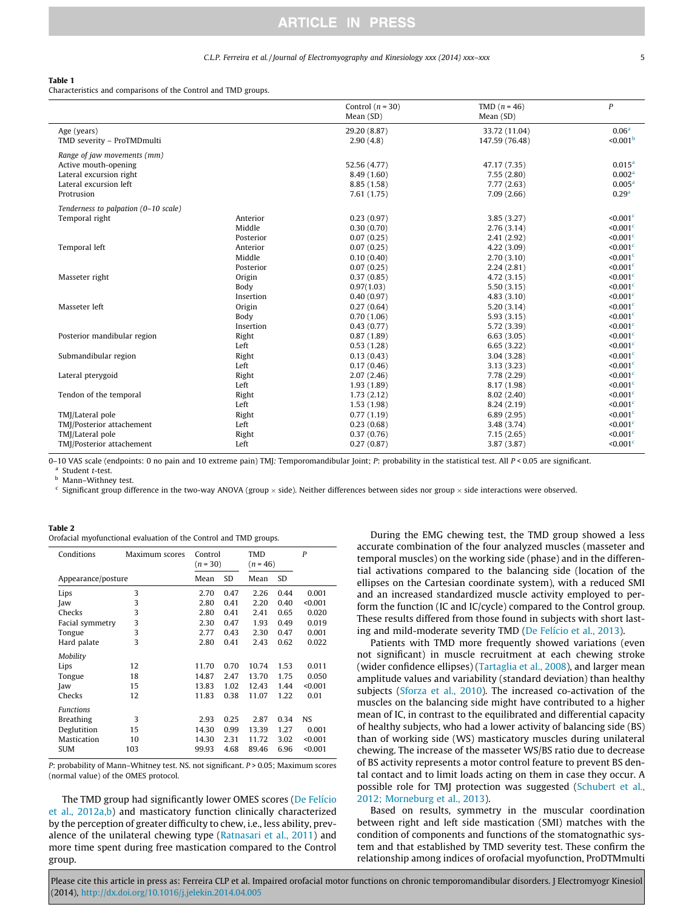#### C.L.P. Ferreira et al. / Journal of Electromyography and Kinesiology xxx (2014) xxx–xxx

#### <span id="page-4-0"></span>Table 1

Characteristics and comparisons of the Control and TMD groups.

|                                      |           | Control $(n = 30)$<br>Mean (SD) | TMD $(n = 46)$<br>Mean (SD) | $\overline{P}$            |
|--------------------------------------|-----------|---------------------------------|-----------------------------|---------------------------|
| Age (years)                          |           | 29.20 (8.87)                    | 33.72 (11.04)               | 0.06 <sup>a</sup>         |
| TMD severity - ProTMDmulti           |           | 2.90(4.8)                       | 147.59 (76.48)              | < 0.001 <sup>b</sup>      |
| Range of jaw movements (mm)          |           |                                 |                             |                           |
| Active mouth-opening                 |           | 52.56 (4.77)                    | 47.17 (7.35)                | 0.015 <sup>a</sup>        |
| Lateral excursion right              |           | 8.49 (1.60)                     | 7.55(2.80)                  | 0.002 <sup>a</sup>        |
| Lateral excursion left               |           | 8.85 (1.58)                     | 7.77(2.63)                  | 0.005 <sup>a</sup>        |
| Protrusion                           |           | 7.61 (1.75)                     | 7.09(2.66)                  | 0.29 <sup>a</sup>         |
| Tenderness to palpation (0-10 scale) |           |                                 |                             |                           |
| Temporal right                       | Anterior  | 0.23(0.97)                      | 3.85(3.27)                  | $\leq 0.001$ <sup>c</sup> |
|                                      | Middle    | 0.30(0.70)                      | 2.76(3.14)                  | $\leq 0.001$ <sup>c</sup> |
|                                      | Posterior | 0.07(0.25)                      | 2.41(2.92)                  | $< 0.001$ <sup>c</sup>    |
| Temporal left                        | Anterior  | 0.07(0.25)                      | 4.22(3.09)                  | $\leq 0.001$ <sup>c</sup> |
|                                      | Middle    | 0.10(0.40)                      | 2.70(3.10)                  | $< 0.001$ <sup>c</sup>    |
|                                      | Posterior | 0.07(0.25)                      | 2.24(2.81)                  | $< 0.001$ <sup>c</sup>    |
| Masseter right                       | Origin    | 0.37(0.85)                      | 4.72(3.15)                  | $< 0.001$ <sup>c</sup>    |
|                                      | Body      | 0.97(1.03)                      | 5.50(3.15)                  | $< 0.001$ <sup>c</sup>    |
|                                      | Insertion | 0.40(0.97)                      | 4.83(3.10)                  | $< 0.001$ <sup>c</sup>    |
| Masseter left                        | Origin    | 0.27(0.64)                      | 5.20(3.14)                  | $\leq 0.001$ <sup>c</sup> |
|                                      | Body      | 0.70(1.06)                      | 5.93(3.15)                  | $< 0.001$ <sup>c</sup>    |
|                                      | Insertion | 0.43(0.77)                      | 5.72 (3.39)                 | $< 0.001$ <sup>c</sup>    |
| Posterior mandibular region          | Right     | 0.87(1.89)                      | 6.63(3.05)                  | $< 0.001$ <sup>c</sup>    |
|                                      | Left      | 0.53(1.28)                      | 6.65(3.22)                  | $\leq 0.001$ <sup>c</sup> |
| Submandibular region                 | Right     | 0.13(0.43)                      | 3.04(3.28)                  | $< 0.001$ <sup>c</sup>    |
|                                      | Left      | 0.17(0.46)                      | 3.13(3.23)                  | $\leq 0.001$ <sup>c</sup> |
| Lateral pterygoid                    | Right     | 2.07(2.46)                      | 7.78 (2.29)                 | $< 0.001$ <sup>c</sup>    |
|                                      | Left      | 1.93(1.89)                      | 8.17 (1.98)                 | $< 0.001$ <sup>c</sup>    |
| Tendon of the temporal               | Right     | 1.73(2.12)                      | 8.02(2.40)                  | $< 0.001$ <sup>c</sup>    |
|                                      | Left      | 1.53(1.98)                      | 8.24(2.19)                  | $< 0.001$ <sup>c</sup>    |
| TMJ/Lateral pole                     | Right     | 0.77(1.19)                      | 6.89(2.95)                  | $< 0.001$ <sup>c</sup>    |
| TMJ/Posterior attachement            | Left      | 0.23(0.68)                      | 3.48 (3.74)                 | $< 0.001$ <sup>c</sup>    |
| TMJ/Lateral pole                     | Right     | 0.37(0.76)                      | 7.15(2.65)                  | $\leq 0.001$ <sup>c</sup> |
| TMJ/Posterior attachement            | Left      | 0.27(0.87)                      | 3.87 (3.87)                 | $< 0.001$ <sup>c</sup>    |

0–10 VAS scale (endpoints: 0 no pain and 10 extreme pain) TMJ: Temporomandibular Joint; P: probability in the statistical test. All P < 0.05 are significant. <sup>a</sup> Student t-test.

**b** Mann-Withney test.

Significant group difference in the two-way ANOVA (group  $\times$  side). Neither differences between sides nor group  $\times$  side interactions were observed.

### Table 2

|  |  |  |  |  |  |  |  |  | Orofacial myofunctional evaluation of the Control and TMD groups. |  |  |  |  |
|--|--|--|--|--|--|--|--|--|-------------------------------------------------------------------|--|--|--|--|
|--|--|--|--|--|--|--|--|--|-------------------------------------------------------------------|--|--|--|--|

| Conditions       | Maximum scores     | Control<br>$(n = 30)$ |      | TMD<br>$(n = 46)$ |      | P         |
|------------------|--------------------|-----------------------|------|-------------------|------|-----------|
|                  | Appearance/posture |                       | SD   | Mean              | SD   |           |
| Lips             | 3                  | 2.70                  | 0.47 | 2.26              | 0.44 | 0.001     |
| Jaw              | 3                  | 2.80                  | 0.41 | 2.20              | 0.40 | < 0.001   |
| Checks           | 3                  | 2.80                  | 0.41 | 2.41              | 0.65 | 0.020     |
| Facial symmetry  | 3                  | 2.30                  | 0.47 | 1.93              | 0.49 | 0.019     |
| Tongue           | 3                  | 2.77                  | 0.43 | 2.30              | 0.47 | 0.001     |
| Hard palate      | 3                  | 2.80                  | 0.41 | 2.43              | 0.62 | 0.022     |
| Mobility         |                    |                       |      |                   |      |           |
| Lips             | 12                 | 11.70                 | 0.70 | 10.74             | 1.53 | 0.011     |
| Tongue           | 18                 | 14.87                 | 2.47 | 13.70             | 1.75 | 0.050     |
| Jaw              | 15                 | 13.83                 | 1.02 | 12.43             | 1.44 | < 0.001   |
| Checks           | 12                 | 11.83                 | 0.38 | 11.07             | 1.22 | 0.01      |
| <b>Functions</b> |                    |                       |      |                   |      |           |
| <b>Breathing</b> | 3                  | 2.93                  | 0.25 | 2.87              | 0.34 | <b>NS</b> |
| Deglutition      | 15                 | 14.30                 | 0.99 | 13.39             | 1.27 | 0.001     |
| Mastication      | 10                 | 14.30                 | 2.31 | 11.72             | 3.02 | < 0.001   |
| <b>SUM</b>       | 103                | 99.93                 | 4.68 | 89.46             | 6.96 | < 0.001   |

P: probability of Mann–Whitney test. NS. not significant. P > 0.05; Maximum scores (normal value) of the OMES protocol.

The TMD group had significantly lower OMES scores ([De Felício](#page-5-0) [et al., 2012a,b\)](#page-5-0) and masticatory function clinically characterized by the perception of greater difficulty to chew, i.e., less ability, prevalence of the unilateral chewing type [\(Ratnasari et al., 2011\)](#page-6-0) and more time spent during free mastication compared to the Control group.

During the EMG chewing test, the TMD group showed a less accurate combination of the four analyzed muscles (masseter and temporal muscles) on the working side (phase) and in the differential activations compared to the balancing side (location of the ellipses on the Cartesian coordinate system), with a reduced SMI and an increased standardized muscle activity employed to perform the function (IC and IC/cycle) compared to the Control group. These results differed from those found in subjects with short lasting and mild-moderate severity TMD ([De Felício et al., 2013\)](#page-5-0).

Patients with TMD more frequently showed variations (even not significant) in muscle recruitment at each chewing stroke (wider confidence ellipses) ([Tartaglia et al., 2008](#page-6-0)), and larger mean amplitude values and variability (standard deviation) than healthy subjects [\(Sforza et al., 2010](#page-6-0)). The increased co-activation of the muscles on the balancing side might have contributed to a higher mean of IC, in contrast to the equilibrated and differential capacity of healthy subjects, who had a lower activity of balancing side (BS) than of working side (WS) masticatory muscles during unilateral chewing. The increase of the masseter WS/BS ratio due to decrease of BS activity represents a motor control feature to prevent BS dental contact and to limit loads acting on them in case they occur. A possible role for TMJ protection was suggested ([Schubert et al.,](#page-6-0) [2012; Morneburg et al., 2013](#page-6-0)).

Based on results, symmetry in the muscular coordination between right and left side mastication (SMI) matches with the condition of components and functions of the stomatognathic system and that established by TMD severity test. These confirm the relationship among indices of orofacial myofunction, ProDTMmulti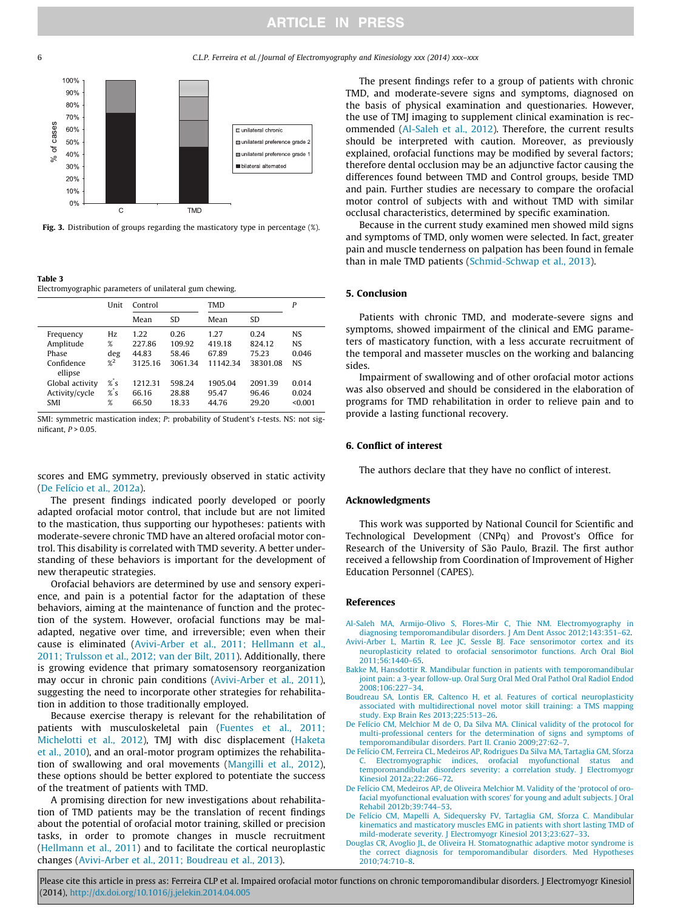<span id="page-5-0"></span>6 C.L.P. Ferreira et al. / Journal of Electromyography and Kinesiology xxx (2014) xxx–xxx



Fig. 3. Distribution of groups regarding the masticatory type in percentage (%).

Table 3 Electromyographic parameters of unilateral gum chewing.

|                       | Unit            | Control |         | <b>TMD</b> | P        |           |
|-----------------------|-----------------|---------|---------|------------|----------|-----------|
|                       |                 | Mean    | SD.     | Mean       | SD.      |           |
| Frequency             | Hz.             | 1.22    | 0.26    | 1.27       | 0.24     | NS.       |
| Amplitude             | %               | 227.86  | 109.92  | 419.18     | 824.12   | <b>NS</b> |
| Phase                 | deg             | 44.83   | 58.46   | 67.89      | 75.23    | 0.046     |
| Confidence<br>ellipse | $\frac{9}{2}$   | 3125.16 | 3061.34 | 11142.34   | 38301.08 | <b>NS</b> |
| Global activity       | $\frac{9}{5}$ s | 1212.31 | 598.24  | 1905.04    | 2091.39  | 0.014     |
| Activity/cycle        | $\chi^*$ s      | 66.16   | 28.88   | 95.47      | 96.46    | 0.024     |
| SMI                   | %               | 66.50   | 18.33   | 44.76      | 29.20    | < 0.001   |

SMI: symmetric mastication index; P: probability of Student's t-tests. NS: not significant,  $P > 0.05$ .

scores and EMG symmetry, previously observed in static activity (De Felício et al., 2012a).

The present findings indicated poorly developed or poorly adapted orofacial motor control, that include but are not limited to the mastication, thus supporting our hypotheses: patients with moderate-severe chronic TMD have an altered orofacial motor control. This disability is correlated with TMD severity. A better understanding of these behaviors is important for the development of new therapeutic strategies.

Orofacial behaviors are determined by use and sensory experience, and pain is a potential factor for the adaptation of these behaviors, aiming at the maintenance of function and the protection of the system. However, orofacial functions may be maladapted, negative over time, and irreversible; even when their cause is eliminated (Avivi-Arber et al., 2011; Hellmann et al., 2011; Trulsson et al., 2012; van der Bilt, 2011). Additionally, there is growing evidence that primary somatosensory reorganization may occur in chronic pain conditions (Avivi-Arber et al., 2011), suggesting the need to incorporate other strategies for rehabilitation in addition to those traditionally employed.

Because exercise therapy is relevant for the rehabilitation of patients with musculoskeletal pain ([Fuentes et al., 2011;](#page-6-0) [Michelotti et al., 2012\)](#page-6-0), TMJ with disc displacement [\(Haketa](#page-6-0) [et al., 2010\)](#page-6-0), and an oral-motor program optimizes the rehabilitation of swallowing and oral movements ([Mangilli et al., 2012\)](#page-6-0), these options should be better explored to potentiate the success of the treatment of patients with TMD.

A promising direction for new investigations about rehabilitation of TMD patients may be the translation of recent findings about the potential of orofacial motor training, skilled or precision tasks, in order to promote changes in muscle recruitment ([Hellmann et al., 2011](#page-6-0)) and to facilitate the cortical neuroplastic changes (Avivi-Arber et al., 2011; Boudreau et al., 2013).

The present findings refer to a group of patients with chronic TMD, and moderate-severe signs and symptoms, diagnosed on the basis of physical examination and questionaries. However, the use of TMJ imaging to supplement clinical examination is recommended (Al-Saleh et al., 2012). Therefore, the current results should be interpreted with caution. Moreover, as previously explained, orofacial functions may be modified by several factors; therefore dental occlusion may be an adjunctive factor causing the differences found between TMD and Control groups, beside TMD and pain. Further studies are necessary to compare the orofacial motor control of subjects with and without TMD with similar occlusal characteristics, determined by specific examination.

Because in the current study examined men showed mild signs and symptoms of TMD, only women were selected. In fact, greater pain and muscle tenderness on palpation has been found in female than in male TMD patients ([Schmid-Schwap et al., 2013](#page-6-0)).

#### 5. Conclusion

Patients with chronic TMD, and moderate-severe signs and symptoms, showed impairment of the clinical and EMG parameters of masticatory function, with a less accurate recruitment of the temporal and masseter muscles on the working and balancing sides.

Impairment of swallowing and of other orofacial motor actions was also observed and should be considered in the elaboration of programs for TMD rehabilitation in order to relieve pain and to provide a lasting functional recovery.

### 6. Conflict of interest

The authors declare that they have no conflict of interest.

#### Acknowledgments

This work was supported by National Council for Scientific and Technological Development (CNPq) and Provost's Office for Research of the University of São Paulo, Brazil. The first author received a fellowship from Coordination of Improvement of Higher Education Personnel (CAPES).

#### References

- [Al-Saleh MA, Armijo-Olivo S, Flores-Mir C, Thie NM. Electromyography in](http://refhub.elsevier.com/S1050-6411(14)00069-8/h0005) [diagnosing temporomandibular disorders. J Am Dent Assoc 2012;143:351–62](http://refhub.elsevier.com/S1050-6411(14)00069-8/h0005).
- [Avivi-Arber L, Martin R, Lee JC, Sessle BJ. Face sensorimotor cortex and its](http://refhub.elsevier.com/S1050-6411(14)00069-8/h0010) [neuroplasticity related to orofacial sensorimotor functions. Arch Oral Biol](http://refhub.elsevier.com/S1050-6411(14)00069-8/h0010) [2011;56:1440–65.](http://refhub.elsevier.com/S1050-6411(14)00069-8/h0010)
- [Bakke M, Hansdottir R. Mandibular function in patients with temporomandibular](http://refhub.elsevier.com/S1050-6411(14)00069-8/h0015) [joint pain: a 3-year follow-up. Oral Surg Oral Med Oral Pathol Oral Radiol Endod](http://refhub.elsevier.com/S1050-6411(14)00069-8/h0015) [2008;106:227–34.](http://refhub.elsevier.com/S1050-6411(14)00069-8/h0015)
- [Boudreau SA, Lontis ER, Caltenco H, et al. Features of cortical neuroplasticity](http://refhub.elsevier.com/S1050-6411(14)00069-8/h0020) [associated with multidirectional novel motor skill training: a TMS mapping](http://refhub.elsevier.com/S1050-6411(14)00069-8/h0020) [study. Exp Brain Res 2013;225:513–26](http://refhub.elsevier.com/S1050-6411(14)00069-8/h0020).
- [De Felício CM, Melchior M de O, Da Silva MA. Clinical validity of the protocol for](http://refhub.elsevier.com/S1050-6411(14)00069-8/h0025) [multi-professional centers for the determination of signs and symptoms of](http://refhub.elsevier.com/S1050-6411(14)00069-8/h0025) [temporomandibular disorders. Part II. Cranio 2009;27:62–7.](http://refhub.elsevier.com/S1050-6411(14)00069-8/h0025)
- [De Felício CM, Ferreira CL, Medeiros AP, Rodrigues Da Silva MA, Tartaglia GM, Sforza](http://refhub.elsevier.com/S1050-6411(14)00069-8/h0030) [C. Electromyographic indices, orofacial myofunctional status and](http://refhub.elsevier.com/S1050-6411(14)00069-8/h0030) [temporomandibular disorders severity: a correlation study. J Electromyogr](http://refhub.elsevier.com/S1050-6411(14)00069-8/h0030) [Kinesiol 2012a;22:266–72.](http://refhub.elsevier.com/S1050-6411(14)00069-8/h0030)
- [De Felício CM, Medeiros AP, de Oliveira Melchior M. Validity of the 'protocol of oro](http://refhub.elsevier.com/S1050-6411(14)00069-8/h0035)[facial myofunctional evaluation with scores' for young and adult subjects. J Oral](http://refhub.elsevier.com/S1050-6411(14)00069-8/h0035) [Rehabil 2012b;39:744–53.](http://refhub.elsevier.com/S1050-6411(14)00069-8/h0035)
- [De Felício CM, Mapelli A, Sidequersky FV, Tartaglia GM, Sforza C. Mandibular](http://refhub.elsevier.com/S1050-6411(14)00069-8/h0040) [kinematics and masticatory muscles EMG in patients with short lasting TMD of](http://refhub.elsevier.com/S1050-6411(14)00069-8/h0040) [mild-moderate severity. J Electromyogr Kinesiol 2013;23:627–33.](http://refhub.elsevier.com/S1050-6411(14)00069-8/h0040)
- [Douglas CR, Avoglio JL, de Oliveira H. Stomatognathic adaptive motor syndrome is](http://refhub.elsevier.com/S1050-6411(14)00069-8/h0045) [the correct diagnosis for temporomandibular disorders. Med Hypotheses](http://refhub.elsevier.com/S1050-6411(14)00069-8/h0045) [2010;74:710–8](http://refhub.elsevier.com/S1050-6411(14)00069-8/h0045).